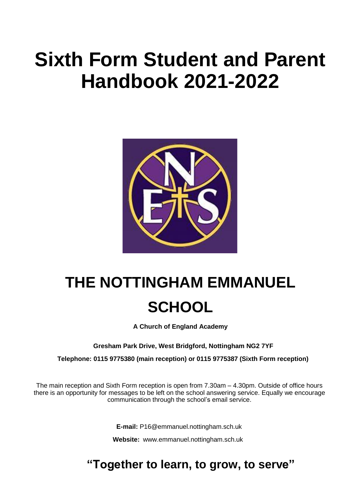# **Sixth Form Student and Parent Handbook 2021-2022**



# **THE NOTTINGHAM EMMANUEL SCHOOL**

**A Church of England Academy**

**Gresham Park Drive, West Bridgford, Nottingham NG2 7YF**

**Telephone: 0115 9775380 (main reception) or 0115 9775387 (Sixth Form reception)**

The main reception and Sixth Form reception is open from 7.30am – 4.30pm. Outside of office hours there is an opportunity for messages to be left on the school answering service. Equally we encourage communication through the school's email service.

**E-mail:** P16@emmanuel.nottingham.sch.uk

**Website:** www.emmanuel.nottingham.sch.uk

**"Together to learn, to grow, to serve"**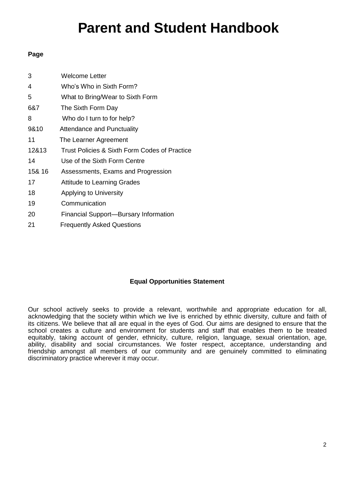## **Parent and Student Handbook**

#### **Page**

| 3      | Welcome Letter                                |
|--------|-----------------------------------------------|
| 4      | Who's Who in Sixth Form?                      |
| 5      | What to Bring/Wear to Sixth Form              |
| 6&7    | The Sixth Form Day                            |
| 8      | Who do I turn to for help?                    |
| 9&10   | <b>Attendance and Punctuality</b>             |
| 11     | The Learner Agreement                         |
| 12&13  | Trust Policies & Sixth Form Codes of Practice |
| 14     | Use of the Sixth Form Centre                  |
| 15& 16 | Assessments, Exams and Progression            |
| 17     | <b>Attitude to Learning Grades</b>            |
| 18     | Applying to University                        |
| 19     | Communication                                 |
| 20     | <b>Financial Support-Bursary Information</b>  |
| 21     | <b>Frequently Asked Questions</b>             |

#### **Equal Opportunities Statement**

Our school actively seeks to provide a relevant, worthwhile and appropriate education for all, acknowledging that the society within which we live is enriched by ethnic diversity, culture and faith of its citizens. We believe that all are equal in the eyes of God. Our aims are designed to ensure that the school creates a culture and environment for students and staff that enables them to be treated equitably, taking account of gender, ethnicity, culture, religion, language, sexual orientation, age, ability, disability and social circumstances. We foster respect, acceptance, understanding and friendship amongst all members of our community and are genuinely committed to eliminating discriminatory practice wherever it may occur.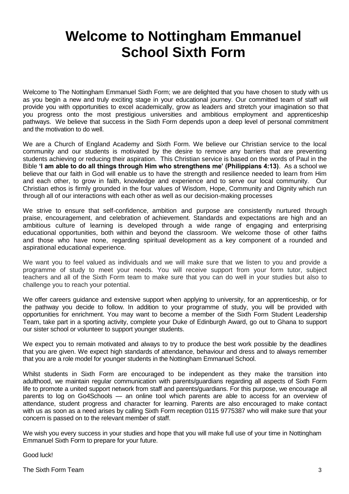### **Welcome to Nottingham Emmanuel School Sixth Form**

Welcome to The Nottingham Emmanuel Sixth Form; we are delighted that you have chosen to study with us as you begin a new and truly exciting stage in your educational journey. Our committed team of staff will provide you with opportunities to excel academically, grow as leaders and stretch your imagination so that you progress onto the most prestigious universities and ambitious employment and apprenticeship pathways. We believe that success in the Sixth Form depends upon a deep level of personal commitment and the motivation to do well.

We are a Church of England Academy and Sixth Form. We believe our Christian service to the local community and our students is motivated by the desire to remove any barriers that are preventing students achieving or reducing their aspiration. This Christian service is based on the words of Paul in the Bible **'I am able to do all things through Him who strengthens me' (Philippians 4:13)**. As a school we believe that our faith in God will enable us to have the strength and resilience needed to learn from Him and each other, to grow in faith, knowledge and experience and to serve our local community. Our Christian ethos is firmly grounded in the four values of Wisdom, Hope, Community and Dignity which run through all of our interactions with each other as well as our decision-making processes

We strive to ensure that self-confidence, ambition and purpose are consistently nurtured through praise, encouragement, and celebration of achievement. Standards and expectations are high and an ambitious culture of learning is developed through a wide range of engaging and enterprising educational opportunities, both within and beyond the classroom. We welcome those of other faiths and those who have none, regarding spiritual development as a key component of a rounded and aspirational educational experience.

We want you to feel valued as individuals and we will make sure that we listen to you and provide a programme of study to meet your needs. You will receive support from your form tutor, subject teachers and all of the Sixth Form team to make sure that you can do well in your studies but also to challenge you to reach your potential.

We offer careers guidance and extensive support when applying to university, for an apprenticeship, or for the pathway you decide to follow. In addition to your programme of study, you will be provided with opportunities for enrichment. You may want to become a member of the Sixth Form Student Leadership Team, take part in a sporting activity, complete your Duke of Edinburgh Award, go out to Ghana to support our sister school or volunteer to support younger students.

We expect you to remain motivated and always to try to produce the best work possible by the deadlines that you are given. We expect high standards of attendance, behaviour and dress and to always remember that you are a role model for younger students in the Nottingham Emmanuel School.

Whilst students in Sixth Form are encouraged to be independent as they make the transition into adulthood, we maintain regular communication with parents/guardians regarding all aspects of Sixth Form life to promote a united support network from staff and parents/guardians. For this purpose, we encourage all parents to log on Go4Schools — an online tool which parents are able to access for an overview of attendance, student progress and character for learning. Parents are also encouraged to make contact with us as soon as a need arises by calling Sixth Form reception 0115 9775387 who will make sure that your concern is passed on to the relevant member of staff.

We wish you every success in your studies and hope that you will make full use of your time in Nottingham Emmanuel Sixth Form to prepare for your future.

Good luck!

The Sixth Form Team 3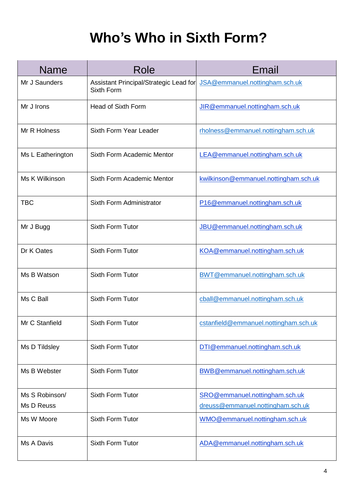## **Who's Who in Sixth Form?**

| <b>Name</b>                  | Role                                                 | Email                                                               |
|------------------------------|------------------------------------------------------|---------------------------------------------------------------------|
| Mr J Saunders                | Assistant Principal/Strategic Lead for<br>Sixth Form | JSA@emmanuel.nottingham.sch.uk                                      |
| Mr J Irons                   | Head of Sixth Form                                   | JIR@emmanuel.nottingham.sch.uk                                      |
| Mr R Holness                 | Sixth Form Year Leader                               | rholness@emmanuel.nottingham.sch.uk                                 |
| Ms L Eatherington            | Sixth Form Academic Mentor                           | LEA@emmanuel.nottingham.sch.uk                                      |
| Ms K Wilkinson               | Sixth Form Academic Mentor                           | kwilkinson@emmanuel.nottingham.sch.uk                               |
| <b>TBC</b>                   | Sixth Form Administrator                             | P16@emmanuel.nottingham.sch.uk                                      |
| Mr J Bugg                    | Sixth Form Tutor                                     | JBU@emmanuel.nottingham.sch.uk                                      |
| Dr K Oates                   | <b>Sixth Form Tutor</b>                              | KOA@emmanuel.nottingham.sch.uk                                      |
| Ms B Watson                  | Sixth Form Tutor                                     | BWT@emmanuel.nottingham.sch.uk                                      |
| Ms C Ball                    | <b>Sixth Form Tutor</b>                              | cball@emmanuel.nottingham.sch.uk                                    |
| Mr C Stanfield               | <b>Sixth Form Tutor</b>                              | cstanfield@emmanuel.nottingham.sch.uk                               |
| Ms D Tildsley                | Sixth Form Tutor                                     | DTI@emmanuel.nottingham.sch.uk                                      |
| Ms B Webster                 | Sixth Form Tutor                                     | BWB@emmanuel.nottingham.sch.uk                                      |
| Ms S Robinson/<br>Ms D Reuss | Sixth Form Tutor                                     | SRO@emmanuel.nottingham.sch.uk<br>dreuss@emmanuel.nottingham.sch.uk |
| Ms W Moore                   | Sixth Form Tutor                                     | WMO@emmanuel.nottingham.sch.uk                                      |
| Ms A Davis                   | <b>Sixth Form Tutor</b>                              | ADA@emmanuel.nottingham.sch.uk                                      |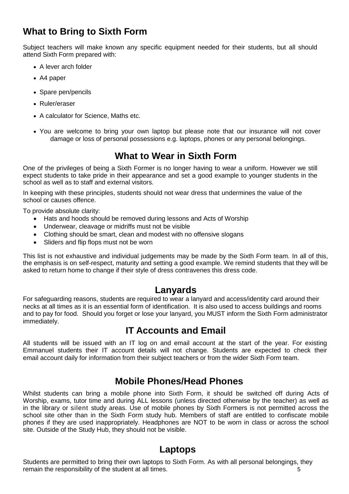### **What to Bring to Sixth Form**

Subject teachers will make known any specific equipment needed for their students, but all should attend Sixth Form prepared with:

- A lever arch folder
- A4 paper
- Spare pen/pencils
- Ruler/eraser
- A calculator for Science, Maths etc.
- You are welcome to bring your own laptop but please note that our insurance will not cover damage or loss of personal possessions e.g. laptops, phones or any personal belongings.

### **What to Wear in Sixth Form**

One of the privileges of being a Sixth Former is no longer having to wear a uniform. However we still expect students to take pride in their appearance and set a good example to younger students in the school as well as to staff and external visitors.

In keeping with these principles, students should not wear dress that undermines the value of the school or causes offence.

To provide absolute clarity:

- Hats and hoods should be removed during lessons and Acts of Worship
- Underwear, cleavage or midriffs must not be visible
- Clothing should be smart, clean and modest with no offensive slogans
- Sliders and flip flops must not be worn

This list is not exhaustive and individual judgements may be made by the Sixth Form team. In all of this, the emphasis is on self-respect, maturity and setting a good example. We remind students that they will be asked to return home to change if their style of dress contravenes this dress code.

#### **Lanyards**

For safeguarding reasons, students are required to wear a lanyard and access/identity card around their necks at all times as it is an essential form of identification. It is also used to access buildings and rooms and to pay for food. Should you forget or lose your lanyard, you MUST inform the Sixth Form administrator immediately.

### **IT Accounts and Email**

All students will be issued with an IT log on and email account at the start of the year. For existing Emmanuel students their IT account details will not change. Students are expected to check their email account daily for information from their subject teachers or from the wider Sixth Form team.

### **Mobile Phones/Head Phones**

Whilst students can bring a mobile phone into Sixth Form, it should be switched off during Acts of Worship, exams, tutor time and during ALL lessons (unless directed otherwise by the teacher) as well as in the library or silent study areas. Use of mobile phones by Sixth Formers is not permitted across the school site other than in the Sixth Form study hub. Members of staff are entitled to confiscate mobile phones if they are used inappropriately. Headphones are NOT to be worn in class or across the school site. Outside of the Study Hub, they should not be visible.

#### **Laptops**

Students are permitted to bring their own laptops to Sixth Form. As with all personal belongings, they remain the responsibility of the student at all times. 5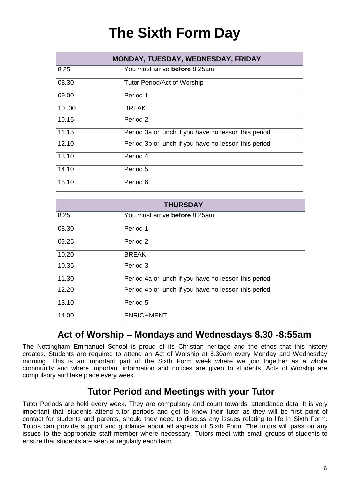## **The Sixth Form Day**

| <b>MONDAY, TUESDAY, WEDNESDAY, FRIDAY</b> |                                                      |  |  |
|-------------------------------------------|------------------------------------------------------|--|--|
| 8.25                                      | You must arrive <b>before</b> 8.25am                 |  |  |
| 08.30                                     | <b>Tutor Period/Act of Worship</b>                   |  |  |
| 09.00                                     | Period 1                                             |  |  |
| 10.00                                     | <b>BREAK</b>                                         |  |  |
| 10.15                                     | Period 2                                             |  |  |
| 11.15                                     | Period 3a or lunch if you have no lesson this period |  |  |
| 12.10                                     | Period 3b or lunch if you have no lesson this period |  |  |
| 13.10                                     | Period 4                                             |  |  |
| 14.10                                     | Period 5                                             |  |  |
| 15.10                                     | Period 6                                             |  |  |

| <b>THURSDAY</b> |                                                      |  |
|-----------------|------------------------------------------------------|--|
| 8.25            | You must arrive <b>before</b> 8.25am                 |  |
| 08.30           | Period 1                                             |  |
| 09.25           | Period 2                                             |  |
| 10.20           | <b>BREAK</b>                                         |  |
| 10.35           | Period 3                                             |  |
| 11.30           | Period 4a or lunch if you have no lesson this period |  |
| 12.20           | Period 4b or lunch if you have no lesson this period |  |
| 13.10           | Period 5                                             |  |
| 14.00           | <b>ENRICHMENT</b>                                    |  |

### **Act of Worship – Mondays and Wednesdays 8.30 -8:55am**

The Nottingham Emmanuel School is proud of its Christian heritage and the ethos that this history creates. Students are required to attend an Act of Worship at 8.30am every Monday and Wednesday morning. This is an important part of the Sixth Form week where we join together as a whole community and where important information and notices are given to students. Acts of Worship are compulsory and take place every week.

### **Tutor Period and Meetings with your Tutor**

Tutor Periods are held every week. They are compulsory and count towards attendance data. It is very important that students attend tutor periods and get to know their tutor as they will be first point of contact for students and parents, should they need to discuss any issues relating to life in Sixth Form. Tutors can provide support and guidance about all aspects of Sixth Form. The tutors will pass on any issues to the appropriate staff member where necessary. Tutors meet with small groups of students to ensure that students are seen at regularly each term.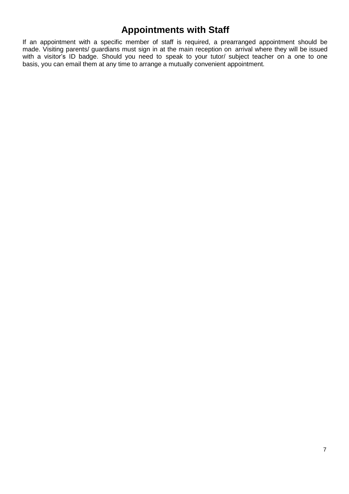### **Appointments with Staff**

If an appointment with a specific member of staff is required, a prearranged appointment should be made. Visiting parents/ guardians must sign in at the main reception on arrival where they will be issued with a visitor's ID badge. Should you need to speak to your tutor/ subject teacher on a one to one basis, you can email them at any time to arrange a mutually convenient appointment.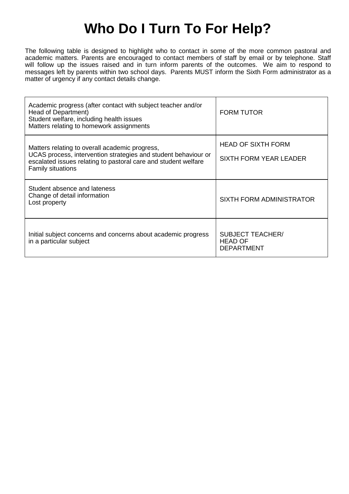## **Who Do I Turn To For Help?**

The following table is designed to highlight who to contact in some of the more common pastoral and academic matters. Parents are encouraged to contact members of staff by email or by telephone. Staff will follow up the issues raised and in turn inform parents of the outcomes. We aim to respond to messages left by parents within two school days. Parents MUST inform the Sixth Form administrator as a matter of urgency if any contact details change.

| Academic progress (after contact with subject teacher and/or<br>Head of Department)<br>Student welfare, including health issues<br>Matters relating to homework assignments                                    | <b>FORM TUTOR</b>                                              |
|----------------------------------------------------------------------------------------------------------------------------------------------------------------------------------------------------------------|----------------------------------------------------------------|
| Matters relating to overall academic progress,<br>UCAS process, intervention strategies and student behaviour or<br>escalated issues relating to pastoral care and student welfare<br><b>Family situations</b> | <b>HEAD OF SIXTH FORM</b><br><b>SIXTH FORM YEAR LEADER</b>     |
| Student absence and lateness<br>Change of detail information<br>Lost property                                                                                                                                  | SIXTH FORM ADMINISTRATOR                                       |
| Initial subject concerns and concerns about academic progress<br>in a particular subject                                                                                                                       | <b>SUBJECT TEACHER/</b><br><b>HEAD OF</b><br><b>DEPARTMENT</b> |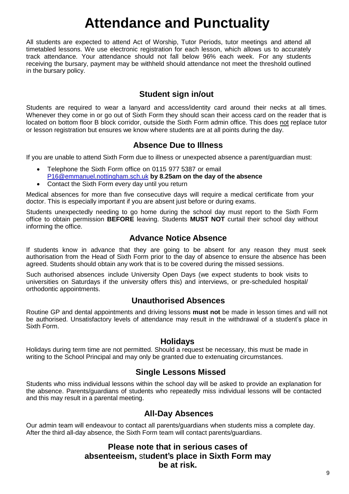## **Attendance and Punctuality**

All students are expected to attend Act of Worship, Tutor Periods, tutor meetings and attend all timetabled lessons. We use electronic registration for each lesson, which allows us to accurately track attendance. Your attendance should not fall below 96% each week. For any students receiving the bursary, payment may be withheld should attendance not meet the threshold outlined in the bursary policy.

#### **Student sign in/out**

Students are required to wear a lanyard and access/identity card around their necks at all times. Whenever they come in or go out of Sixth Form they should scan their access card on the reader that is located on bottom floor B block corridor, outside the Sixth Form admin office. This does not replace tutor or lesson registration but ensures we know where students are at all points during the day.

#### **Absence Due to Illness**

If you are unable to attend Sixth Form due to illness or unexpected absence a parent/guardian must:

- Telephone the Sixth Form office on 0115 977 5387 or email [P16@emmanuel.nottingham.sch.uk](mailto:P16@emmanuel.nottingham.sch.uk) **by 8.25am on the day of the absence**
- Contact the Sixth Form every day until you return

Medical absences for more than five consecutive days will require a medical certificate from your doctor. This is especially important if you are absent just before or during exams.

Students unexpectedly needing to go home during the school day must report to the Sixth Form office to obtain permission **BEFORE** leaving. Students **MUST NOT** curtail their school day without informing the office.

#### **Advance Notice Absence**

If students know in advance that they are going to be absent for any reason they must seek authorisation from the Head of Sixth Form prior to the day of absence to ensure the absence has been agreed. Students should obtain any work that is to be covered during the missed sessions.

Such authorised absences include University Open Days (we expect students to book visits to universities on Saturdays if the university offers this) and interviews, or pre-scheduled hospital/ orthodontic appointments.

#### **Unauthorised Absences**

Routine GP and dental appointments and driving lessons **must not** be made in lesson times and will not be authorised. Unsatisfactory levels of attendance may result in the withdrawal of a student's place in Sixth Form.

#### **Holidays**

Holidays during term time are not permitted. Should a request be necessary, this must be made in writing to the School Principal and may only be granted due to extenuating circumstances.

#### **Single Lessons Missed**

Students who miss individual lessons within the school day will be asked to provide an explanation for the absence. Parents/guardians of students who repeatedly miss individual lessons will be contacted and this may result in a parental meeting.

#### **All-Day Absences**

Our admin team will endeavour to contact all parents/guardians when students miss a complete day. After the third all-day absence, the Sixth Form team will contact parents/guardians.

#### **Please note that in serious cases of absenteeism,** st**udent's place in Sixth Form may be at risk.**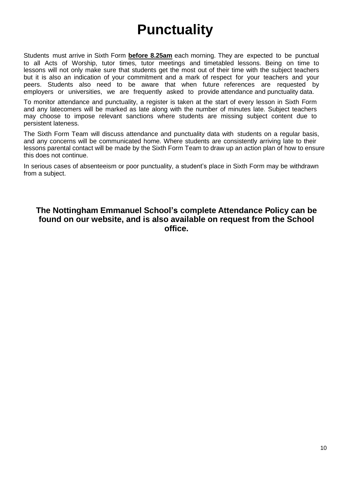## **Punctuality**

Students must arrive in Sixth Form **before 8.25am** each morning. They are expected to be punctual to all Acts of Worship, tutor times, tutor meetings and timetabled lessons. Being on time to lessons will not only make sure that students get the most out of their time with the subject teachers but it is also an indication of your commitment and a mark of respect for your teachers and your peers. Students also need to be aware that when future references are requested by employers or universities, we are frequently asked to provide attendance and punctuality data.

To monitor attendance and punctuality, a register is taken at the start of every lesson in Sixth Form and any latecomers will be marked as late along with the number of minutes late. Subject teachers may choose to impose relevant sanctions where students are missing subject content due to persistent lateness.

The Sixth Form Team will discuss attendance and punctuality data with students on a regular basis, and any concerns will be communicated home. Where students are consistently arriving late to their lessons parental contact will be made by the Sixth Form Team to draw up an action plan of how to ensure this does not continue.

In serious cases of absenteeism or poor punctuality, a student's place in Sixth Form may be withdrawn from a subject.

#### **The Nottingham Emmanuel School's complete Attendance Policy can be found on our website, and is also available on request from the School office.**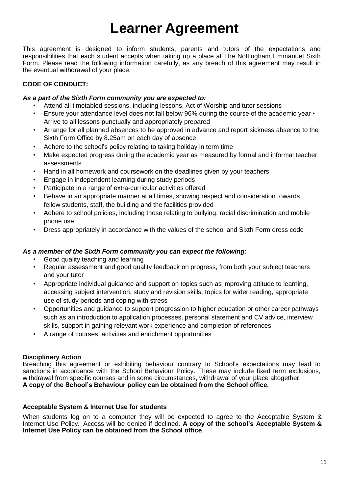## **Learner Agreement**

This agreement is designed to inform students, parents and tutors of the expectations and responsibilities that each student accepts when taking up a place at The Nottingham Emmanuel Sixth Form. Please read the following information carefully, as any breach of this agreement may result in the eventual withdrawal of your place.

#### **CODE OF CONDUCT:**

#### *As a part of the Sixth Form community you are expected to:*

- Attend all timetabled sessions, including lessons, Act of Worship and tutor sessions
- Ensure your attendance level does not fall below 96% during the course of the academic year Arrive to all lessons punctually and appropriately prepared
- Arrange for all planned absences to be approved in advance and report sickness absence to the Sixth Form Office by 8.25am on each day of absence
- Adhere to the school's policy relating to taking holiday in term time
- Make expected progress during the academic year as measured by formal and informal teacher assessments
- Hand in all homework and coursework on the deadlines given by your teachers
- Engage in independent learning during study periods
- Participate in a range of extra-curricular activities offered
- Behave in an appropriate manner at all times, showing respect and consideration towards fellow students, staff, the building and the facilities provided
- Adhere to school policies, including those relating to bullying, racial discrimination and mobile phone use
- Dress appropriately in accordance with the values of the school and Sixth Form dress code

#### *As a member of the Sixth Form community you can expect the following:*

- Good quality teaching and learning
- Regular assessment and good quality feedback on progress, from both your subject teachers and your tutor
- Appropriate individual guidance and support on topics such as improving attitude to learning, accessing subject intervention, study and revision skills, topics for wider reading, appropriate use of study periods and coping with stress
- Opportunities and guidance to support progression to higher education or other career pathways such as an introduction to application processes, personal statement and CV advice, interview skills, support in gaining relevant work experience and completion of references
- A range of courses, activities and enrichment opportunities

#### **Disciplinary Action**

Breaching this agreement or exhibiting behaviour contrary to School's expectations may lead to sanctions in accordance with the School Behaviour Policy. These may include fixed term exclusions, withdrawal from specific courses and in some circumstances, withdrawal of your place altogether. **A copy of the School's Behaviour policy can be obtained from the School office.**

#### **Acceptable System & Internet Use for students**

When students log on to a computer they will be expected to agree to the Acceptable System & Internet Use Policy. Access will be denied if declined. **A copy of the school's Acceptable System & Internet Use Policy can be obtained from the School office**.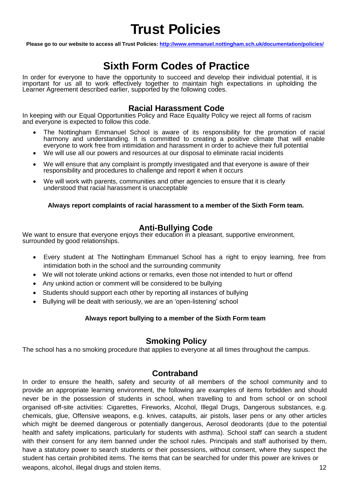### **Trust Policies**

**Please go to our website to access all Trust Policies: <http://www.emmanuel.nottingham.sch.uk/documentation/policies/>**

### **Sixth Form Codes of Practice**

In order for everyone to have the opportunity to succeed and develop their individual potential, it is important for us all to work effectively together to maintain high expectations in upholding the Learner Agreement described earlier, supported by the following codes.

#### **Racial Harassment Code**

In keeping with our Equal Opportunities Policy and Race Equality Policy we reject all forms of racism and everyone is expected to follow this code.

- The Nottingham Emmanuel School is aware of its responsibility for the promotion of racial harmony and understanding. It is committed to creating a positive climate that will enable everyone to work free from intimidation and harassment in order to achieve their full potential
- We will use all our powers and resources at our disposal to eliminate racial incidents
- We will ensure that any complaint is promptly investigated and that everyone is aware of their responsibility and procedures to challenge and report it when it occurs
- We will work with parents, communities and other agencies to ensure that it is clearly understood that racial harassment is unacceptable

#### **Always report complaints of racial harassment to a member of the Sixth Form team.**

#### **Anti-Bullying Code**

We want to ensure that everyone enjoys their education in a pleasant, supportive environment, surrounded by good relationships.

- Every student at The Nottingham Emmanuel School has a right to enjoy learning, free from intimidation both in the school and the surrounding community
- We will not tolerate unkind actions or remarks, even those not intended to hurt or offend
- Any unkind action or comment will be considered to be bullying
- Students should support each other by reporting all instances of bullying
- Bullying will be dealt with seriously, we are an 'open-listening' school

#### **Always report bullying to a member of the Sixth Form team**

#### **Smoking Policy**

The school has a no smoking procedure that applies to everyone at all times throughout the campus.

#### **Contraband**

In order to ensure the health, safety and security of all members of the school community and to provide an appropriate learning environment, the following are examples of items forbidden and should never be in the possession of students in school, when travelling to and from school or on school organised off-site activities: Cigarettes, Fireworks, Alcohol, Illegal Drugs, Dangerous substances, e.g. chemicals, glue, Offensive weapons, e.g. knives, catapults, air pistols, laser pens or any other articles which might be deemed dangerous or potentially dangerous, Aerosol deodorants (due to the potential health and safety implications, particularly for students with asthma). School staff can search a student with their consent for any item banned under the school rules. Principals and staff authorised by them, have a statutory power to search students or their possessions, without consent, where they suspect the student has certain prohibited items. The items that can be searched for under this power are knives or weapons, alcohol, illegal drugs and stolen items. 12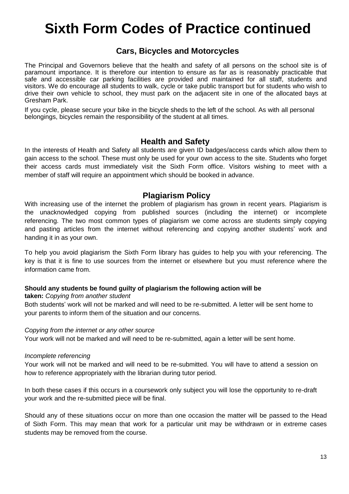## **Sixth Form Codes of Practice continued**

#### **Cars, Bicycles and Motorcycles**

The Principal and Governors believe that the health and safety of all persons on the school site is of paramount importance. It is therefore our intention to ensure as far as is reasonably practicable that safe and accessible car parking facilities are provided and maintained for all staff, students and visitors. We do encourage all students to walk, cycle or take public transport but for students who wish to drive their own vehicle to school, they must park on the adjacent site in one of the allocated bays at Gresham Park.

If you cycle, please secure your bike in the bicycle sheds to the left of the school. As with all personal belongings, bicycles remain the responsibility of the student at all times.

#### **Health and Safety**

In the interests of Health and Safety all students are given ID badges/access cards which allow them to gain access to the school. These must only be used for your own access to the site. Students who forget their access cards must immediately visit the Sixth Form office. Visitors wishing to meet with a member of staff will require an appointment which should be booked in advance.

#### **Plagiarism Policy**

With increasing use of the internet the problem of plagiarism has grown in recent years. Plagiarism is the unacknowledged copying from published sources (including the internet) or incomplete referencing. The two most common types of plagiarism we come across are students simply copying and pasting articles from the internet without referencing and copying another students' work and handing it in as your own.

To help you avoid plagiarism the Sixth Form library has guides to help you with your referencing. The key is that it is fine to use sources from the internet or elsewhere but you must reference where the information came from.

#### **Should any students be found guilty of plagiarism the following action will be**

**taken:** *Copying from another student*

Both students' work will not be marked and will need to be re-submitted. A letter will be sent home to your parents to inform them of the situation and our concerns.

#### *Copying from the internet or any other source*

Your work will not be marked and will need to be re-submitted, again a letter will be sent home.

#### *Incomplete referencing*

Your work will not be marked and will need to be re-submitted. You will have to attend a session on how to reference appropriately with the librarian during tutor period.

In both these cases if this occurs in a coursework only subject you will lose the opportunity to re-draft your work and the re-submitted piece will be final.

Should any of these situations occur on more than one occasion the matter will be passed to the Head of Sixth Form. This may mean that work for a particular unit may be withdrawn or in extreme cases students may be removed from the course.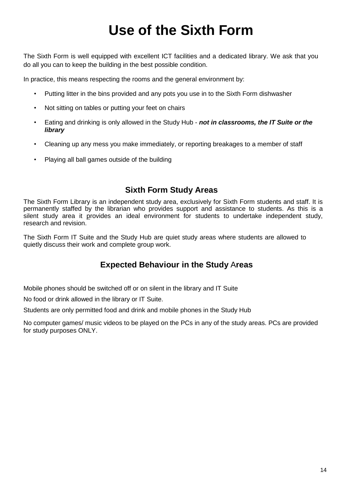## **Use of the Sixth Form**

The Sixth Form is well equipped with excellent ICT facilities and a dedicated library. We ask that you do all you can to keep the building in the best possible condition.

In practice, this means respecting the rooms and the general environment by:

- Putting litter in the bins provided and any pots you use in to the Sixth Form dishwasher
- Not sitting on tables or putting your feet on chairs
- Eating and drinking is only allowed in the Study Hub *not in classrooms, the IT Suite or the library*
- Cleaning up any mess you make immediately, or reporting breakages to a member of staff
- Playing all ball games outside of the building

#### **Sixth Form Study Areas**

The Sixth Form Library is an independent study area, exclusively for Sixth Form students and staff. It is permanently staffed by the librarian who provides support and assistance to students. As this is a silent study area it provides an ideal environment for students to undertake independent study, research and revision.

The Sixth Form IT Suite and the Study Hub are quiet study areas where students are allowed to quietly discuss their work and complete group work.

### **Expected Behaviour in the Study** A**reas**

Mobile phones should be switched off or on silent in the library and IT Suite

No food or drink allowed in the library or IT Suite.

Students are only permitted food and drink and mobile phones in the Study Hub

No computer games/ music videos to be played on the PCs in any of the study areas. PCs are provided for study purposes ONLY.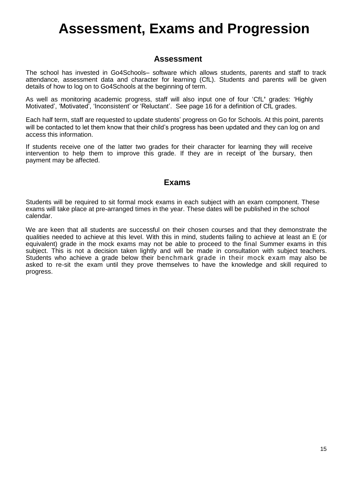### **Assessment, Exams and Progression**

#### **Assessment**

The school has invested in Go4Schools– software which allows students, parents and staff to track attendance, assessment data and character for learning (CfL). Students and parents will be given details of how to log on to Go4Schools at the beginning of term.

As well as monitoring academic progress, staff will also input one of four 'CfL**'** grades: 'Highly Motivated', 'Motivated', 'Inconsistent' or 'Reluctant'. See page 16 for a definition of CfL grades.

Each half term, staff are requested to update students' progress on Go for Schools. At this point, parents will be contacted to let them know that their child's progress has been updated and they can log on and access this information.

If students receive one of the latter two grades for their character for learning they will receive intervention to help them to improve this grade. If they are in receipt of the bursary, then payment may be affected.

#### **Exams**

Students will be required to sit formal mock exams in each subject with an exam component. These exams will take place at pre-arranged times in the year. These dates will be published in the school calendar.

We are keen that all students are successful on their chosen courses and that they demonstrate the qualities needed to achieve at this level. With this in mind, students failing to achieve at least an E (or equivalent) grade in the mock exams may not be able to proceed to the final Summer exams in this subject. This is not a decision taken lightly and will be made in consultation with subject teachers. Students who achieve a grade below their benchmark grade in their mock exam may also be asked to re-sit the exam until they prove themselves to have the knowledge and skill required to progress.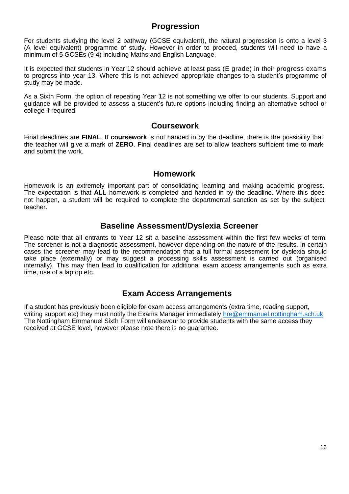#### **Progression**

For students studying the level 2 pathway (GCSE equivalent), the natural progression is onto a level 3 (A level equivalent) programme of study. However in order to proceed, students will need to have a minimum of 5 GCSEs (9-4) including Maths and English Language.

It is expected that students in Year 12 should achieve at least pass (E grade) in their progress exams to progress into year 13. Where this is not achieved appropriate changes to a student's programme of study may be made.

As a Sixth Form, the option of repeating Year 12 is not something we offer to our students. Support and guidance will be provided to assess a student's future options including finding an alternative school or college if required.

#### **Coursework**

Final deadlines are **FINAL**. If **coursework** is not handed in by the deadline, there is the possibility that the teacher will give a mark of **ZERO**. Final deadlines are set to allow teachers sufficient time to mark and submit the work.

#### **Homework**

Homework is an extremely important part of consolidating learning and making academic progress. The expectation is that **ALL** homework is completed and handed in by the deadline. Where this does not happen, a student will be required to complete the departmental sanction as set by the subject teacher.

#### **Baseline Assessment/Dyslexia Screener**

Please note that all entrants to Year 12 sit a baseline assessment within the first few weeks of term. The screener is not a diagnostic assessment, however depending on the nature of the results, in certain cases the screener may lead to the recommendation that a full formal assessment for dyslexia should take place (externally) or may suggest a processing skills assessment is carried out (organised internally). This may then lead to qualification for additional exam access arrangements such as extra time, use of a laptop etc.

#### **Exam Access Arrangements**

If a student has previously been eligible for exam access arrangements (extra time, reading support, writing support etc) they must notify the Exams Manager immediately [hre@emmanuel.nottingham.sch.uk](mailto:hre@emmanuel.nottingham.sch.uk) The Nottingham Emmanuel Sixth Form will endeavour to provide students with the same access they received at GCSE level, however please note there is no guarantee.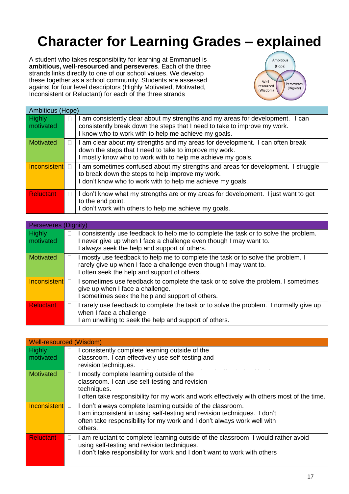## **Character for Learning Grades – explained**

A student who takes responsibility for learning at Emmanuel is **ambitious, well-resourced and perseveres**. Each of the three strands links directly to one of our school values. We develop these together as a school community. Students are assessed against for four level descriptors (Highly Motivated, Motivated, Inconsistent or Reluctant) for each of the three strands



| Ambitious (Hope)           |  |                                                                                                                                                                                                                 |  |
|----------------------------|--|-----------------------------------------------------------------------------------------------------------------------------------------------------------------------------------------------------------------|--|
| <b>Highly</b><br>motivated |  | am consistently clear about my strengths and my areas for development. I can<br>consistently break down the steps that I need to take to improve my work.<br>know who to work with to help me achieve my goals. |  |
| Motivated                  |  | am clear about my strengths and my areas for development. I can often break<br>down the steps that I need to take to improve my work.<br>mostly know who to work with to help me achieve my goals.              |  |
| Inconsistent D             |  | am sometimes confused about my strengths and areas for development. I struggle<br>to break down the steps to help improve my work.<br>don't know who to work with to help me achieve my goals.                  |  |
| <b>Reluctant</b>           |  | I don't know what my strengths are or my areas for development. I just want to get<br>to the end point.<br>I don't work with others to help me achieve my goals.                                                |  |

| Perseveres (Dignity)       |   |                                                                                                                                                                                                             |
|----------------------------|---|-------------------------------------------------------------------------------------------------------------------------------------------------------------------------------------------------------------|
| <b>Highly</b><br>motivated |   | I consistently use feedback to help me to complete the task or to solve the problem.<br>I never give up when I face a challenge even though I may want to.<br>I always seek the help and support of others. |
| Motivated                  |   | I mostly use feedback to help me to complete the task or to solve the problem. I<br>rarely give up when I face a challenge even though I may want to.<br>I often seek the help and support of others.       |
| Inconsistent               |   | I sometimes use feedback to complete the task or to solve the problem. I sometimes<br>give up when I face a challenge.<br>I sometimes seek the help and support of others.                                  |
| <b>Reluctant</b>           | ⊔ | I rarely use feedback to complete the task or to solve the problem. I normally give up<br>when I face a challenge<br>I am unwilling to seek the help and support of others.                                 |

| Well-resourced (Wisdom)    |   |                                                                                                                                                                                                                          |
|----------------------------|---|--------------------------------------------------------------------------------------------------------------------------------------------------------------------------------------------------------------------------|
| <b>Highly</b><br>motivated | L | consistently complete learning outside of the<br>classroom. I can effectively use self-testing and<br>revision techniques.                                                                                               |
| Motivated                  | L | I mostly complete learning outside of the<br>classroom. I can use self-testing and revision<br>techniques.<br>often take responsibility for my work and work effectively with others most of the time.                   |
| Inconsistent D             |   | don't always complete learning outside of the classroom.<br>am inconsistent in using self-testing and revision techniques. I don't<br>often take responsibility for my work and I don't always work well with<br>others. |
| <b>Reluctant</b>           |   | am reluctant to complete learning outside of the classroom. I would rather avoid<br>using self-testing and revision techniques.<br>don't take responsibility for work and I don't want to work with others               |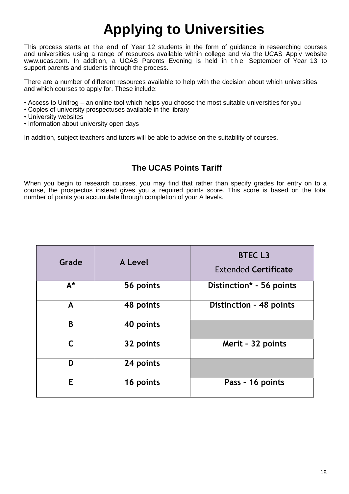## **Applying to Universities**

This process starts at the end of Year 12 students in the form of guidance in researching courses and universities using a range of resources available within college and via the UCAS Apply website www.ucas.com. In addition, a UCAS Parents Evening is held in the September of Year 13 to support parents and students through the process.

There are a number of different resources available to help with the decision about which universities and which courses to apply for. These include:

- Access to Unifrog an online tool which helps you choose the most suitable universities for you
- Copies of university prospectuses available in the library
- University websites
- Information about university open days

In addition, subject teachers and tutors will be able to advise on the suitability of courses.

### **The UCAS Points Tariff**

When you begin to research courses, you may find that rather than specify grades for entry on to a course, the prospectus instead gives you a required points score. This score is based on the total number of points you accumulate through completion of your A levels.

| Grade        | A Level   | <b>BTEC L3</b><br><b>Extended Certificate</b> |
|--------------|-----------|-----------------------------------------------|
| $A^*$        | 56 points | Distinction* - 56 points                      |
| A            | 48 points | Distinction - 48 points                       |
| B            | 40 points |                                               |
| $\mathsf{C}$ | 32 points | Merit - 32 points                             |
| D            | 24 points |                                               |
| E            | 16 points | Pass - 16 points                              |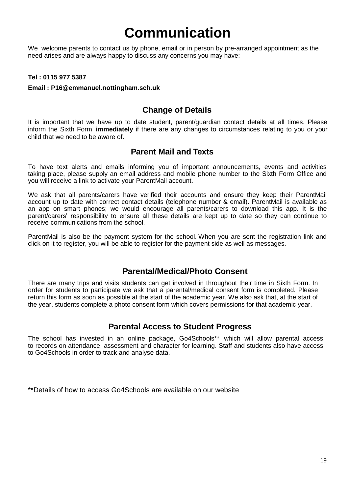## **Communication**

We welcome parents to contact us by phone, email or in person by pre-arranged appointment as the need arises and are always happy to discuss any concerns you may have:

#### **Tel : 0115 977 5387**

#### **Email : P16@emmanuel.nottingham.sch.uk**

#### **Change of Details**

It is important that we have up to date student, parent/guardian contact details at all times. Please inform the Sixth Form **immediately** if there are any changes to circumstances relating to you or your child that we need to be aware of.

#### **Parent Mail and Texts**

To have text alerts and emails informing you of important announcements, events and activities taking place, please supply an email address and mobile phone number to the Sixth Form Office and you will receive a link to activate your ParentMail account.

We ask that all parents/carers have verified their accounts and ensure they keep their ParentMail account up to date with correct contact details (telephone number & email). ParentMail is available as an app on smart phones; we would encourage all parents/carers to download this app. It is the parent/carers' responsibility to ensure all these details are kept up to date so they can continue to receive communications from the school.

ParentMail is also be the payment system for the school. When you are sent the registration link and click on it to register, you will be able to register for the payment side as well as messages.

#### **Parental/Medical/Photo Consent**

There are many trips and visits students can get involved in throughout their time in Sixth Form. In order for students to participate we ask that a parental/medical consent form is completed. Please return this form as soon as possible at the start of the academic year. We also ask that, at the start of the year, students complete a photo consent form which covers permissions for that academic year.

#### **Parental Access to Student Progress**

The school has invested in an online package, Go4Schools\*\* which will allow parental access to records on attendance, assessment and character for learning. Staff and students also have access to Go4Schools in order to track and analyse data.

\*\*Details of how to access Go4Schools are available on our website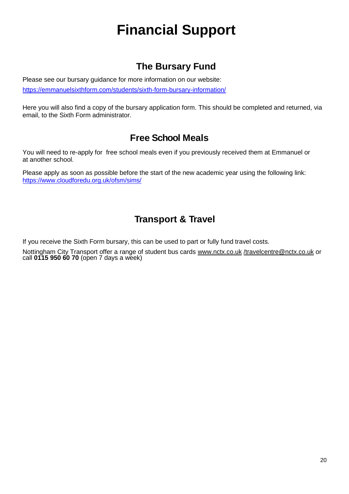## **Financial Support**

### **The Bursary Fund**

Please see our bursary guidance for more information on our website: <https://emmanuelsixthform.com/students/sixth-form-bursary-information/>

Here you will also find a copy of the bursary application form. This should be completed and returned, via email, to the Sixth Form administrator.

### **Free School Meals**

You will need to re-apply for free school meals even if you previously received them at Emmanuel or at another school.

Please apply as soon as possible before the start of the new academic year using the following link: <https://www.cloudforedu.org.uk/ofsm/sims/>

### **Transport & Travel**

If you receive the Sixth Form bursary, this can be used to part or fully fund travel costs.

Nottingham City Transport offer a range of student bus cards [www.nctx.co.uk](http://www.nctx.co.uk/) [/travelcentre@nctx.co.uk](http://www.nctx.co.uk/) or call **0115 950 60 70** (open 7 days a week)